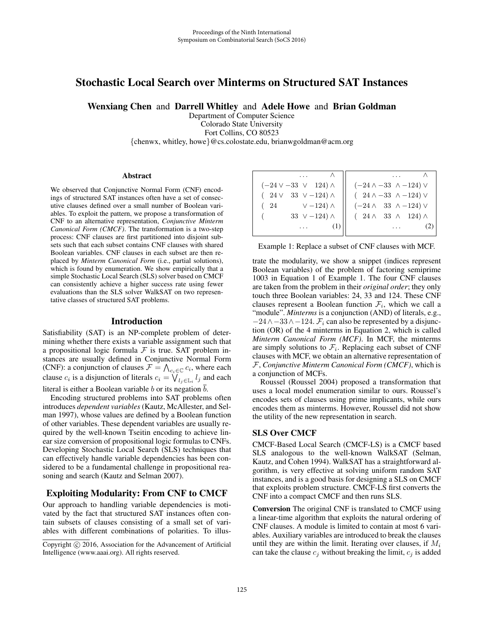# Stochastic Local Search over Minterms on Structured SAT Instances

Wenxiang Chen and Darrell Whitley and Adele Howe and Brian Goldman

Department of Computer Science Colorado State University Fort Collins, CO 80523 {chenwx, whitley, howe}@cs.colostate.edu, brianwgoldman@acm.org

### **Abstract**

We observed that Conjunctive Normal Form (CNF) encodings of structured SAT instances often have a set of consecutive clauses defined over a small number of Boolean variables. To exploit the pattern, we propose a transformation of CNF to an alternative representation, *Conjunctive Minterm Canonical Form (CMCF)*. The transformation is a two-step process: CNF clauses are first partitioned into disjoint subsets such that each subset contains CNF clauses with shared Boolean variables. CNF clauses in each subset are then replaced by *Minterm Canonical Form* (i.e., partial solutions), which is found by enumeration. We show empirically that a simple Stochastic Local Search (SLS) solver based on CMCF can consistently achieve a higher success rate using fewer evaluations than the SLS solver WalkSAT on two representative classes of structured SAT problems.

### Introduction

Satisfiability (SAT) is an NP-complete problem of determining whether there exists a variable assignment such that a propositional logic formula  $\mathcal F$  is true. SAT problem instances are usually defined in Conjunctive Normal Form (CNF): a conjunction of clauses  $\mathcal{F} = \bigwedge_{c_i \in \mathbb{C}} c_i$ , where each clause  $c_i$  is a disjunction of literals  $c_i = \bigvee_{l_j \in \mathbb{L}_i} l_j$  and each literal is either a Boolean variable b or its negation  $\bar{b}$ .

Encoding structured problems into SAT problems often introduces *dependent variables* (Kautz, McAllester, and Selman 1997), whose values are defined by a Boolean function of other variables. These dependent variables are usually required by the well-known Tseitin encoding to achieve linear size conversion of propositional logic formulas to CNFs. Developing Stochastic Local Search (SLS) techniques that can effectively handle variable dependencies has been considered to be a fundamental challenge in propositional reasoning and search (Kautz and Selman 2007).

## Exploiting Modularity: From CNF to CMCF

Our approach to handling variable dependencies is motivated by the fact that structured SAT instances often contain subsets of clauses consisting of a small set of variables with different combinations of polarities. To illus-

| $(-24 \vee -33 \vee$<br>$124) \wedge$ | $(-24 \wedge -33 \wedge -124) \vee$ |
|---------------------------------------|-------------------------------------|
| $(24 \vee 33 \vee -124) \wedge$       | $(24 \wedge -33 \wedge -124) \vee$  |
| $\vee$ -124) $\wedge$<br>(24          | $(-24 \wedge 33 \wedge -124) \vee$  |
| 33 $\sqrt{-124}$ $\wedge$             | $(24 \wedge 33 \wedge 124) \wedge$  |
|                                       |                                     |
|                                       |                                     |

Example 1: Replace a subset of CNF clauses with MCF.

trate the modularity, we show a snippet (indices represent Boolean variables) of the problem of factoring semiprime 1003 in Equation 1 of Example 1. The four CNF clauses are taken from the problem in their *original order*; they only touch three Boolean variables: 24, 33 and 124. These CNF clauses represent a Boolean function  $\mathcal{F}_i$ , which we call a "module". Minterms is a conjunction (AND) of literals, e.g.,  $-24 \wedge -33 \wedge -124$ .  $\mathcal{F}_i$  can also be represented by a disjunction (OR) of the 4 minterms in Equation 2, which is called *Minterm Canonical Form (MCF)*. In MCF, the minterms are simply solutions to  $\mathcal{F}_i$ . Replacing each subset of CNF clauses with MCF, we obtain an alternative representation of F, *Conjunctive Minterm Canonical Form (CMCF)*, which is a conjunction of MCFs.

Roussel (Roussel 2004) proposed a transformation that uses a local model enumeration similar to ours. Roussel's encodes sets of clauses using prime implicants, while ours encodes them as minterms. However, Roussel did not show the utility of the new representation in search.

## SLS Over CMCF

CMCF-Based Local Search (CMCF-LS) is a CMCF based SLS analogous to the well-known WalkSAT (Selman, Kautz, and Cohen 1994). WalkSAT has a straightforward algorithm, is very effective at solving uniform random SAT instances, and is a good basis for designing a SLS on CMCF that exploits problem structure. CMCF-LS first converts the CNF into a compact CMCF and then runs SLS.

Conversion The original CNF is translated to CMCF using a linear-time algorithm that exploits the natural ordering of CNF clauses. A module is limited to contain at most 6 variables. Auxiliary variables are introduced to break the clauses until they are within the limit. Iterating over clauses, if  $M_i$ can take the clause  $c_i$  without breaking the limit,  $c_i$  is added

Copyright  $\odot$  2016, Association for the Advancement of Artificial Intelligence (www.aaai.org). All rights reserved.